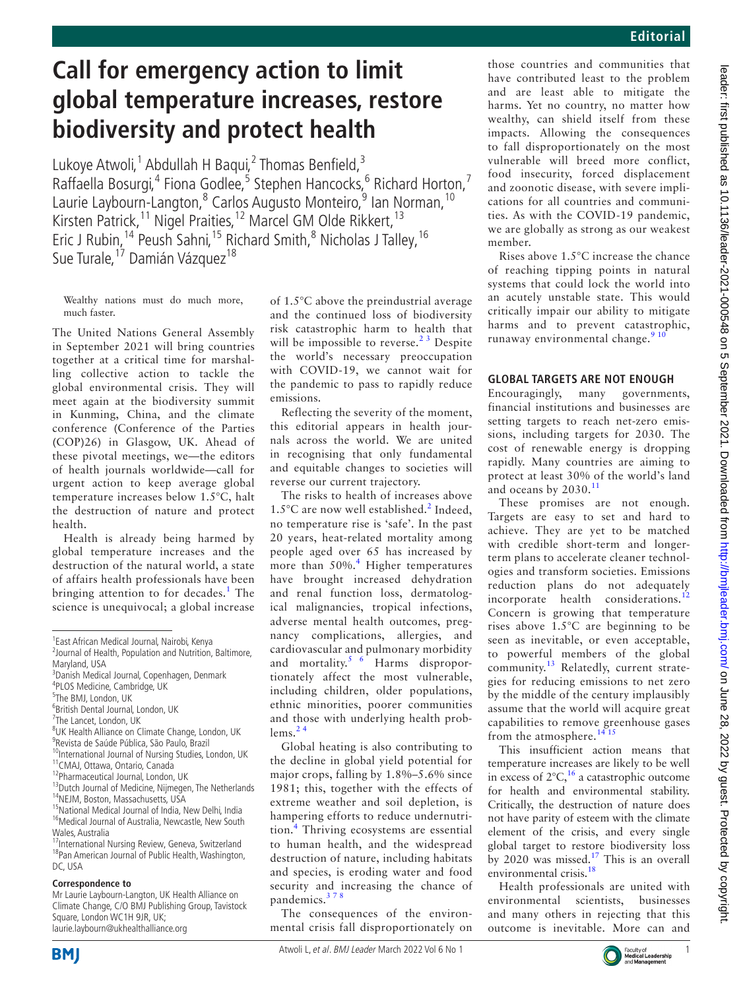# **Call for emergency action to limit global temperature increases, restore biodiversity and protect health**

Lukoye Atwoli,<sup>1</sup> Abdullah H Baqui,<sup>2</sup> Thomas Benfield,<sup>3</sup> Raffaella Bosurgi,<sup>4</sup> Fiona Godlee,<sup>5</sup> Stephen Hancocks,<sup>6</sup> Richard Horton,<sup>7</sup> Laurie Laybourn-Langton,<sup>8</sup> Carlos Augusto Monteiro,<sup>9</sup> Ian Norman, <sup>10</sup> Kirsten Patrick,<sup>11</sup> Nigel Praities,<sup>12</sup> Marcel GM Olde Rikkert,<sup>13</sup> Eric J Rubin,<sup>14</sup> Peush Sahni,<sup>15</sup> Richard Smith,<sup>8</sup> Nicholas J Talley, <sup>16</sup> Sue Turale, <sup>17</sup> Damián Vázquez<sup>18</sup>

Wealthy nations must do much more, much faster.

The United Nations General Assembly in September 2021 will bring countries together at a critical time for marshalling collective action to tackle the global environmental crisis. They will meet again at the biodiversity summit in Kunming, China, and the climate conference (Conference of the Parties (COP)26) in Glasgow, UK. Ahead of these pivotal meetings, we—the editors of health journals worldwide—call for urgent action to keep average global temperature increases below 1.5°C, halt the destruction of nature and protect health.

Health is already being harmed by global temperature increases and the destruction of the natural world, a state of affairs health professionals have been bringing attention to for decades.<sup>[1](#page-1-0)</sup> The science is unequivocal; a global increase

<sup>8</sup>UK Health Alliance on Climate Change, London, UK 9 Revista de Saúde Pública, São Paulo, Brazil

#### **Correspondence to**

Mr Laurie Laybourn-Langton, UK Health Alliance on Climate Change, C/O BMJ Publishing Group, Tavistock Square, London WC1H 9JR, UK; laurie.laybourn@ukhealthalliance.org

of 1.5°C above the preindustrial average and the continued loss of biodiversity risk catastrophic harm to health that will be impossible to reverse.<sup>23</sup> Despite the world's necessary preoccupation with COVID-19, we cannot wait for the pandemic to pass to rapidly reduce emissions.

Reflecting the severity of the moment, this editorial appears in health journals across the world. We are united in recognising that only fundamental and equitable changes to societies will reverse our current trajectory.

The risks to health of increases above  $1.5^{\circ}$ C are now well established.<sup>[2](#page-1-1)</sup> Indeed, no temperature rise is 'safe'. In the past 20 years, heat-related mortality among people aged over 65 has increased by more than 50%.<sup>[4](#page-1-2)</sup> Higher temperatures have brought increased dehydration and renal function loss, dermatological malignancies, tropical infections, adverse mental health outcomes, pregnancy complications, allergies, and cardiovascular and pulmonary morbidity and mortality.<sup>5 6</sup> Harms disproportionately affect the most vulnerable, including children, older populations, ethnic minorities, poorer communities and those with underlying health problems. $24$ 

Global heating is also contributing to the decline in global yield potential for major crops, falling by 1.8%–5.6% since 1981; this, together with the effects of extreme weather and soil depletion, is hampering efforts to reduce undernutrition.[4](#page-1-2) Thriving ecosystems are essential to human health, and the widespread destruction of nature, including habitats and species, is eroding water and food security and increasing the chance of pandemics.[3 7 8](#page-1-4)

The consequences of the environmental crisis fall disproportionately on those countries and communities that have contributed least to the problem and are least able to mitigate the harms. Yet no country, no matter how wealthy, can shield itself from these impacts. Allowing the consequences to fall disproportionately on the most vulnerable will breed more conflict, food insecurity, forced displacement and zoonotic disease, with severe implications for all countries and communities. As with the COVID-19 pandemic, we are globally as strong as our weakest member.

Rises above 1.5°C increase the chance of reaching tipping points in natural systems that could lock the world into an acutely unstable state. This would critically impair our ability to mitigate harms and to prevent catastrophic, runaway environmental change.<sup>91</sup>

## **GLOBAL TARGETS ARE NOT ENOUGH**

Encouragingly, many governments, financial institutions and businesses are setting targets to reach net-zero emissions, including targets for 2030. The cost of renewable energy is dropping rapidly. Many countries are aiming to protect at least 30% of the world's land and oceans by  $2030.<sup>11</sup>$  $2030.<sup>11</sup>$  $2030.<sup>11</sup>$ 

These promises are not enough. Targets are easy to set and hard to achieve. They are yet to be matched with credible short-term and longerterm plans to accelerate cleaner technologies and transform societies. Emissions reduction plans do not adequately incorporate health considerations.<sup>[12](#page-2-2)</sup> Concern is growing that temperature rises above 1.5°C are beginning to be seen as inevitable, or even acceptable, to powerful members of the global community.<sup>[13](#page-2-3)</sup> Relatedly, current strategies for reducing emissions to net zero by the middle of the century implausibly assume that the world will acquire great capabilities to remove greenhouse gases from the atmosphere.  $14.15$ 

This insufficient action means that temperature increases are likely to be well in excess of  $2^{\circ}C$ ,<sup>[16](#page-2-5)</sup> a catastrophic outcome for health and environmental stability. Critically, the destruction of nature does not have parity of esteem with the climate element of the crisis, and every single global target to restore biodiversity loss by 2020 was missed.[17](#page-2-6) This is an overall environmental crisis.<sup>[18](#page-2-7)</sup>

Health professionals are united with environmental scientists, businesses and many others in rejecting that this outcome is inevitable. More can and





**BMI** 

<sup>1</sup> East African Medical Journal, Nairobi, Kenya <sup>2</sup> Journal of Health, Population and Nutrition, Baltimore,

Maryland, USA

<sup>3</sup> Danish Medical Journal, Copenhagen, Denmark

<sup>4</sup> PLOS Medicine, Cambridge, UK

<sup>5</sup> The BMJ, London, UK

<sup>6</sup> British Dental Journal, London, UK

<sup>&</sup>lt;sup>7</sup>The Lancet, London, UK

<sup>&</sup>lt;sup>10</sup>International Journal of Nursing Studies, London, UK

<sup>&</sup>lt;sup>11</sup>CMAJ, Ottawa, Ontario, Canada

<sup>12</sup>Pharmaceutical Journal, London, UK

<sup>&</sup>lt;sup>13</sup>Dutch Journal of Medicine, Nijmegen, The Netherlands <sup>14</sup>NEJM, Boston, Massachusetts, USA

<sup>&</sup>lt;sup>15</sup>National Medical Journal of India, New Delhi, India <sup>16</sup>Medical Journal of Australia, Newcastle, New South Wales, Australia

<sup>&</sup>lt;sup>17</sup>International Nursing Review, Geneva, Switzerland <sup>18</sup>Pan American Journal of Public Health, Washington, DC, USA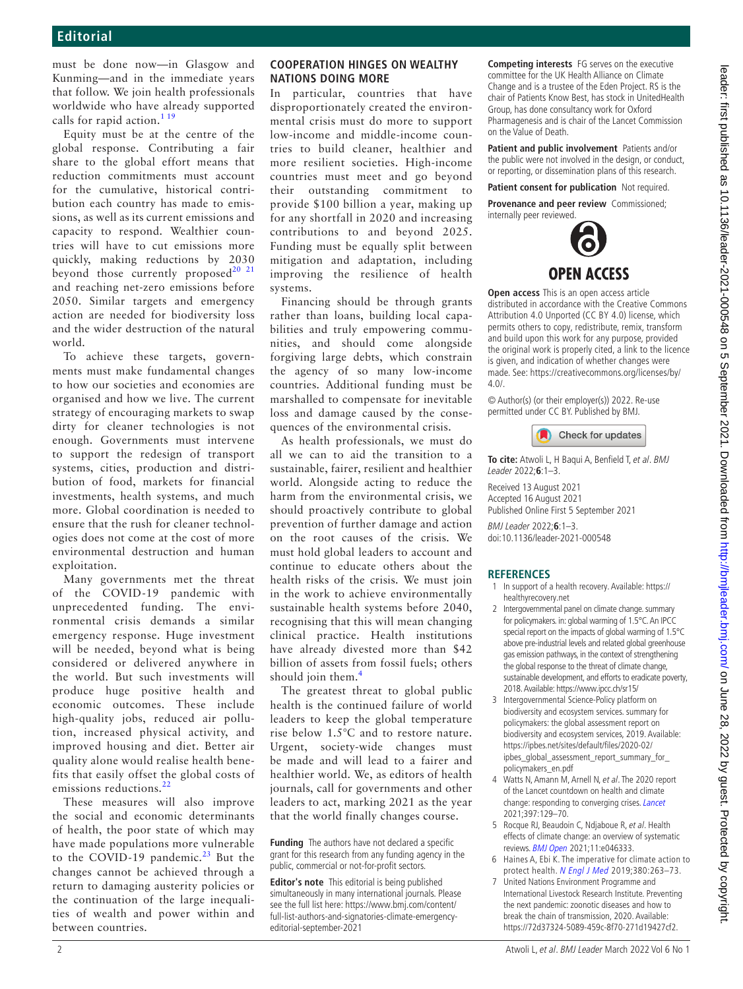must be done now—in Glasgow and Kunming—and in the immediate years that follow. We join health professionals worldwide who have already supported calls for rapid action.<sup>[1 19](#page-1-0)</sup>

Equity must be at the centre of the global response. Contributing a fair share to the global effort means that reduction commitments must account for the cumulative, historical contribution each country has made to emissions, as well as its current emissions and capacity to respond. Wealthier countries will have to cut emissions more quickly, making reductions by 2030 beyond those currently proposed $20$   $21$ and reaching net-zero emissions before 2050. Similar targets and emergency action are needed for biodiversity loss and the wider destruction of the natural world.

To achieve these targets, governments must make fundamental changes to how our societies and economies are organised and how we live. The current strategy of encouraging markets to swap dirty for cleaner technologies is not enough. Governments must intervene to support the redesign of transport systems, cities, production and distribution of food, markets for financial investments, health systems, and much more. Global coordination is needed to ensure that the rush for cleaner technologies does not come at the cost of more environmental destruction and human exploitation.

Many governments met the threat of the COVID-19 pandemic with unprecedented funding. The environmental crisis demands a similar emergency response. Huge investment will be needed, beyond what is being considered or delivered anywhere in the world. But such investments will produce huge positive health and economic outcomes. These include high-quality jobs, reduced air pollution, increased physical activity, and improved housing and diet. Better air quality alone would realise health benefits that easily offset the global costs of emissions reductions.<sup>[22](#page-2-9)</sup>

These measures will also improve the social and economic determinants of health, the poor state of which may have made populations more vulnerable to the COVID-19 pandemic.<sup>[23](#page-2-10)</sup> But the changes cannot be achieved through a return to damaging austerity policies or the continuation of the large inequalities of wealth and power within and between countries.

### **COOPERATION HINGES ON WEALTHY NATIONS DOING MORE**

In particular, countries that have disproportionately created the environmental crisis must do more to support low-income and middle-income countries to build cleaner, healthier and more resilient societies. High-income countries must meet and go beyond their outstanding commitment to provide \$100 billion a year, making up for any shortfall in 2020 and increasing contributions to and beyond 2025. Funding must be equally split between mitigation and adaptation, including improving the resilience of health systems.

Financing should be through grants rather than loans, building local capabilities and truly empowering communities, and should come alongside forgiving large debts, which constrain the agency of so many low-income countries. Additional funding must be marshalled to compensate for inevitable loss and damage caused by the consequences of the environmental crisis.

As health professionals, we must do all we can to aid the transition to a sustainable, fairer, resilient and healthier world. Alongside acting to reduce the harm from the environmental crisis, we should proactively contribute to global prevention of further damage and action on the root causes of the crisis. We must hold global leaders to account and continue to educate others about the health risks of the crisis. We must join in the work to achieve environmentally sustainable health systems before 2040, recognising that this will mean changing clinical practice. Health institutions have already divested more than \$42 billion of assets from fossil fuels; others should join them. $4$ 

The greatest threat to global public health is the continued failure of world leaders to keep the global temperature rise below 1.5°C and to restore nature. Urgent, society-wide changes must be made and will lead to a fairer and healthier world. We, as editors of health journals, call for governments and other leaders to act, marking 2021 as the year that the world finally changes course.

**Funding** The authors have not declared a specific grant for this research from any funding agency in the public, commercial or not-for-profit sectors.

**Editor's note** This editorial is being published simultaneously in many international journals. Please see the full list here: [https://www.bmj.com/content/](https://www.bmj.com/content/full-list-authors-and-signatories-climate-emergency-editorial-september-2021) [full-list-authors-and-signatories-climate-emergency](https://www.bmj.com/content/full-list-authors-and-signatories-climate-emergency-editorial-september-2021)[editorial-september-2021](https://www.bmj.com/content/full-list-authors-and-signatories-climate-emergency-editorial-september-2021)

**Competing interests** FG serves on the executive committee for the UK Health Alliance on Climate Change and is a trustee of the Eden Project. RS is the chair of Patients Know Best, has stock in UnitedHealth Group, has done consultancy work for Oxford Pharmagenesis and is chair of the Lancet Commission on the Value of Death.

**Patient and public involvement** Patients and/or the public were not involved in the design, or conduct, or reporting, or dissemination plans of this research.

**Patient consent for publication** Not required.

**Provenance and peer review** Commissioned; internally peer reviewed.



**Open access** This is an open access article distributed in accordance with the Creative Commons Attribution 4.0 Unported (CC BY 4.0) license, which permits others to copy, redistribute, remix, transform and build upon this work for any purpose, provided the original work is properly cited, a link to the licence is given, and indication of whether changes were made. See: [https://creativecommons.org/licenses/by/](https://creativecommons.org/licenses/by/4.0/) [4.0/](https://creativecommons.org/licenses/by/4.0/).

© Author(s) (or their employer(s)) 2022. Re-use permitted under CC BY. Published by BMJ.



**To cite:** Atwoli L, H Baqui A, Benfield T, et al. BMJ Leader 2022;**6**:1–3.

Received 13 August 2021 Accepted 16 August 2021 Published Online First 5 September 2021

BMJ Leader 2022;**6**:1–3. doi:10.1136/leader-2021-000548

### **REFERENCES**

- <span id="page-1-0"></span>In support of a health recovery. Available: [https://](https://healthyrecovery.net) [healthyrecovery.net](https://healthyrecovery.net)
- <span id="page-1-1"></span>2 Intergovernmental panel on climate change. summary for policymakers. in: global warming of 1.5°C. An IPCC special report on the impacts of global warming of 1.5°C above pre-industrial levels and related global greenhouse gas emission pathways, in the context of strengthening the global response to the threat of climate change, sustainable development, and efforts to eradicate poverty, 2018. Available:<https://www.ipcc.ch/sr15/>
- <span id="page-1-4"></span>3 Intergovernmental Science-Policy platform on biodiversity and ecosystem services. summary for policymakers: the global assessment report on biodiversity and ecosystem services, 2019. Available: [https://ipbes.net/sites/default/files/2020-02/](https://ipbes.net/sites/default/files/2020-02/ipbes_global_assessment_report_summary_for_policymakers_en.pdf) [ipbes\\_global\\_assessment\\_report\\_summary\\_for\\_](https://ipbes.net/sites/default/files/2020-02/ipbes_global_assessment_report_summary_for_policymakers_en.pdf) [policymakers\\_en.pdf](https://ipbes.net/sites/default/files/2020-02/ipbes_global_assessment_report_summary_for_policymakers_en.pdf)
- <span id="page-1-2"></span>4 Watts N, Amann M, Arnell N, et al. The 2020 report of the Lancet countdown on health and climate change: responding to converging crises. [Lancet](http://dx.doi.org/10.1016/S0140-6736(20)32290-X) 2021;397:129–70.
- <span id="page-1-3"></span>5 Rocque RJ, Beaudoin C, Ndjaboue R, et al. Health effects of climate change: an overview of systematic reviews. **[BMJ Open](http://dx.doi.org/10.1136/bmjopen-2020-046333) 2021**;11:e046333.
- 6 Haines A, Ebi K. The imperative for climate action to protect health. [N Engl J Med](http://dx.doi.org/10.1056/NEJMra1807873) 2019;380:263–73.
- 7 United Nations Environment Programme and International Livestock Research Institute. Preventing the next pandemic: zoonotic diseases and how to break the chain of transmission, 2020. Available: [https://72d37324-5089-459c-8f70-271d19427cf2.](https://72d37324-5089-459c-8f70-271d19427cf2.filesusr.com/ugd/056cf4_b5b2fc067f094dd3b2250cda15c47acd.pdf)